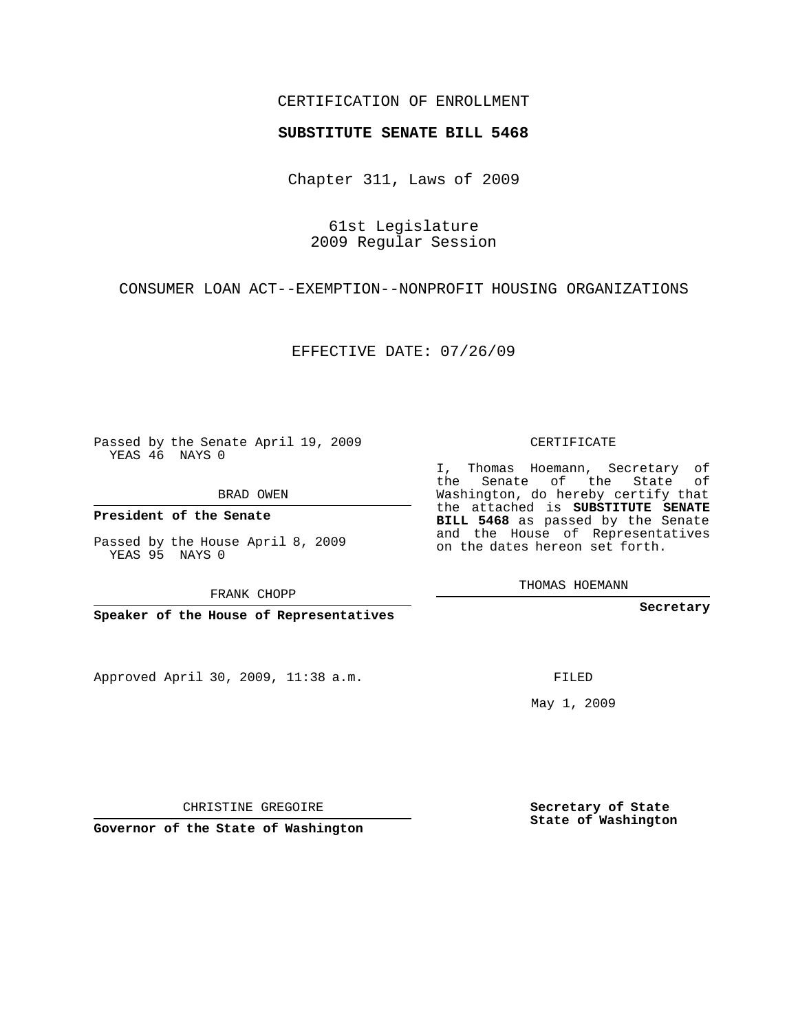#### CERTIFICATION OF ENROLLMENT

#### **SUBSTITUTE SENATE BILL 5468**

Chapter 311, Laws of 2009

61st Legislature 2009 Regular Session

### CONSUMER LOAN ACT--EXEMPTION--NONPROFIT HOUSING ORGANIZATIONS

EFFECTIVE DATE: 07/26/09

Passed by the Senate April 19, 2009 YEAS 46 NAYS 0

BRAD OWEN

**President of the Senate**

Passed by the House April 8, 2009 YEAS 95 NAYS 0

FRANK CHOPP

**Speaker of the House of Representatives**

Approved April 30, 2009, 11:38 a.m.

CERTIFICATE

I, Thomas Hoemann, Secretary of the Senate of the State of Washington, do hereby certify that the attached is **SUBSTITUTE SENATE BILL 5468** as passed by the Senate and the House of Representatives on the dates hereon set forth.

THOMAS HOEMANN

**Secretary**

FILED

May 1, 2009

**Secretary of State State of Washington**

CHRISTINE GREGOIRE

**Governor of the State of Washington**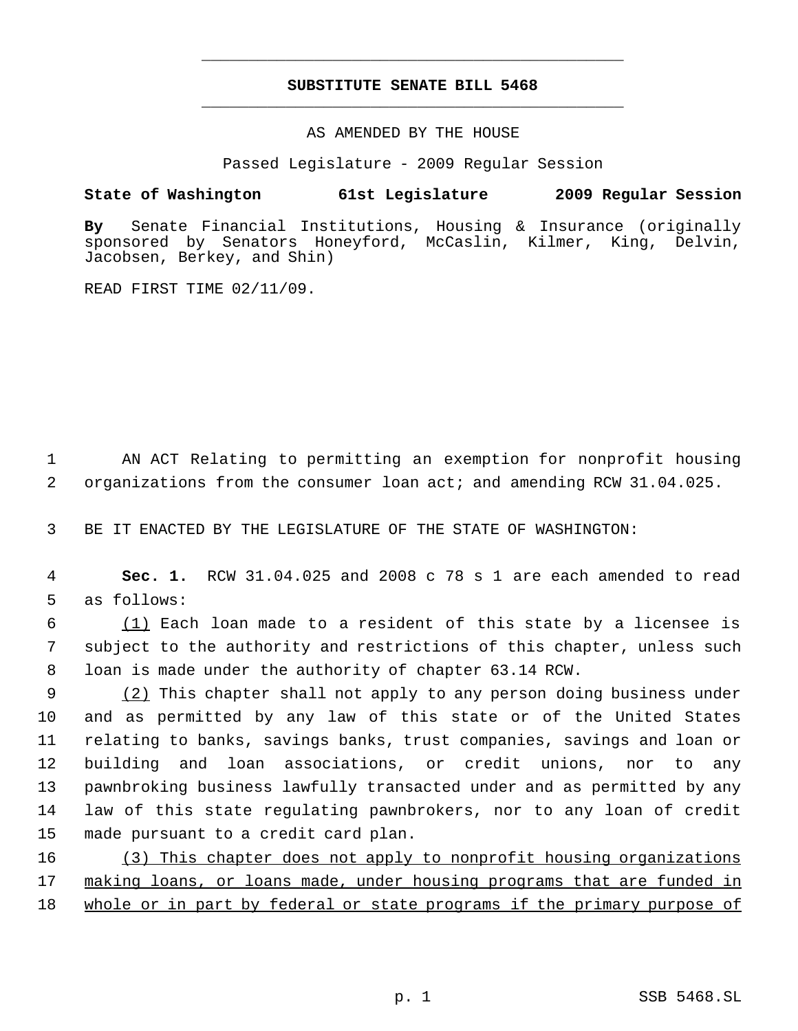# **SUBSTITUTE SENATE BILL 5468** \_\_\_\_\_\_\_\_\_\_\_\_\_\_\_\_\_\_\_\_\_\_\_\_\_\_\_\_\_\_\_\_\_\_\_\_\_\_\_\_\_\_\_\_\_

\_\_\_\_\_\_\_\_\_\_\_\_\_\_\_\_\_\_\_\_\_\_\_\_\_\_\_\_\_\_\_\_\_\_\_\_\_\_\_\_\_\_\_\_\_

AS AMENDED BY THE HOUSE

Passed Legislature - 2009 Regular Session

## **State of Washington 61st Legislature 2009 Regular Session**

**By** Senate Financial Institutions, Housing & Insurance (originally sponsored by Senators Honeyford, McCaslin, Kilmer, King, Delvin, Jacobsen, Berkey, and Shin)

READ FIRST TIME 02/11/09.

 1 AN ACT Relating to permitting an exemption for nonprofit housing 2 organizations from the consumer loan act; and amending RCW 31.04.025.

3 BE IT ENACTED BY THE LEGISLATURE OF THE STATE OF WASHINGTON:

 4 **Sec. 1.** RCW 31.04.025 and 2008 c 78 s 1 are each amended to read 5 as follows:

 $6$  (1) Each loan made to a resident of this state by a licensee is 7 subject to the authority and restrictions of this chapter, unless such 8 loan is made under the authority of chapter 63.14 RCW.

9 (2) This chapter shall not apply to any person doing business under and as permitted by any law of this state or of the United States relating to banks, savings banks, trust companies, savings and loan or building and loan associations, or credit unions, nor to any pawnbroking business lawfully transacted under and as permitted by any law of this state regulating pawnbrokers, nor to any loan of credit made pursuant to a credit card plan.

16 (3) This chapter does not apply to nonprofit housing organizations 17 making loans, or loans made, under housing programs that are funded in 18 whole or in part by federal or state programs if the primary purpose of